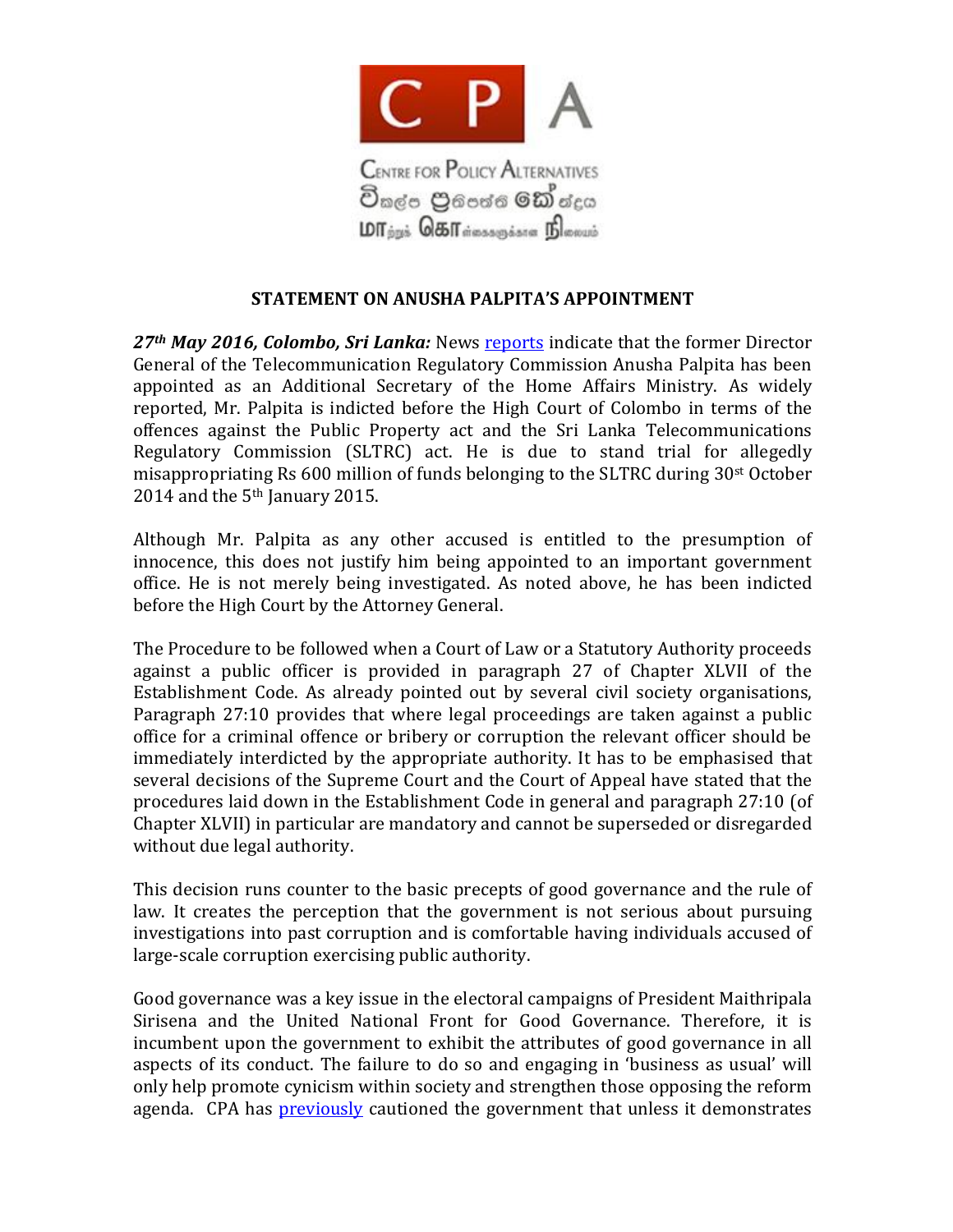

## **STATEMENT ON ANUSHA PALPITA'S APPOINTMENT**

*27th May 2016, Colombo, Sri Lanka:* News [reports](http://www.dailynews.lk/?q=2016/05/25/features/82716) indicate that the former Director General of the Telecommunication Regulatory Commission Anusha Palpita has been appointed as an Additional Secretary of the Home Affairs Ministry. As widely reported, Mr. Palpita is indicted before the High Court of Colombo in terms of the offences against the Public Property act and the Sri Lanka Telecommunications Regulatory Commission (SLTRC) act. He is due to stand trial for allegedly misappropriating Rs 600 million of funds belonging to the SLTRC during 30st October 2014 and the 5th January 2015.

Although Mr. Palpita as any other accused is entitled to the presumption of innocence, this does not justify him being appointed to an important government office. He is not merely being investigated. As noted above, he has been indicted before the High Court by the Attorney General.

The Procedure to be followed when a Court of Law or a Statutory Authority proceeds against a public officer is provided in paragraph 27 of Chapter XLVII of the Establishment Code. As already pointed out by several civil society organisations, Paragraph 27:10 provides that where legal proceedings are taken against a public office for a criminal offence or bribery or corruption the relevant officer should be immediately interdicted by the appropriate authority. It has to be emphasised that several decisions of the Supreme Court and the Court of Appeal have stated that the procedures laid down in the Establishment Code in general and paragraph 27:10 (of Chapter XLVII) in particular are mandatory and cannot be superseded or disregarded without due legal authority.

This decision runs counter to the basic precepts of good governance and the rule of law. It creates the perception that the government is not serious about pursuing investigations into past corruption and is comfortable having individuals accused of large-scale corruption exercising public authority.

Good governance was a key issue in the electoral campaigns of President Maithripala Sirisena and the United National Front for Good Governance. Therefore, it is incumbent upon the government to exhibit the attributes of good governance in all aspects of its conduct. The failure to do so and engaging in 'business as usual' will only help promote cynicism within society and strengthen those opposing the reform agenda. CPA has [previously](http://www.cpalanka.org/the-public-perception-of-governance-in-government-is-not-good/) cautioned the government that unless it demonstrates